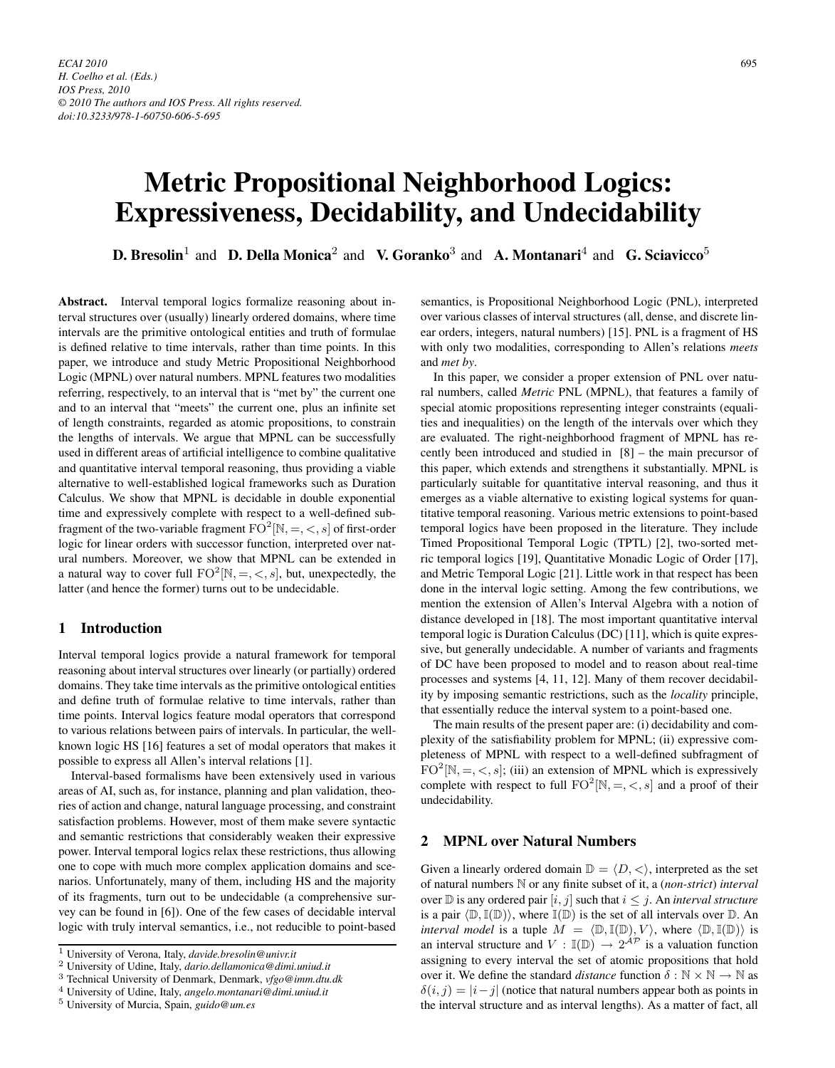# **Metric Propositional Neighborhood Logics: Expressiveness, Decidability, and Undecidability**

**D. Bresolin**<sup>1</sup> and **D. Della Monica**<sup>2</sup> and **V. Goranko**<sup>3</sup> and **A. Montanari**<sup>4</sup> and **G. Sciavicco**<sup>5</sup>

**Abstract.** Interval temporal logics formalize reasoning about interval structures over (usually) linearly ordered domains, where time intervals are the primitive ontological entities and truth of formulae is defined relative to time intervals, rather than time points. In this paper, we introduce and study Metric Propositional Neighborhood Logic (MPNL) over natural numbers. MPNL features two modalities referring, respectively, to an interval that is "met by" the current one and to an interval that "meets" the current one, plus an infinite set of length constraints, regarded as atomic propositions, to constrain the lengths of intervals. We argue that MPNL can be successfully used in different areas of artificial intelligence to combine qualitative and quantitative interval temporal reasoning, thus providing a viable alternative to well-established logical frameworks such as Duration Calculus. We show that MPNL is decidable in double exponential time and expressively complete with respect to a well-defined subfragment of the two-variable fragment  $FO^2[N, =, <, s]$  of first-order logic for linear orders with successor function, interpreted over natural numbers. Moreover, we show that MPNL can be extended in a natural way to cover full  $FO^2[N, =, <, s]$ , but, unexpectedly, the latter (and hence the former) turns out to be undecidable.

# **1 Introduction**

Interval temporal logics provide a natural framework for temporal reasoning about interval structures over linearly (or partially) ordered domains. They take time intervals as the primitive ontological entities and define truth of formulae relative to time intervals, rather than time points. Interval logics feature modal operators that correspond to various relations between pairs of intervals. In particular, the wellknown logic HS [16] features a set of modal operators that makes it possible to express all Allen's interval relations [1].

Interval-based formalisms have been extensively used in various areas of AI, such as, for instance, planning and plan validation, theories of action and change, natural language processing, and constraint satisfaction problems. However, most of them make severe syntactic and semantic restrictions that considerably weaken their expressive power. Interval temporal logics relax these restrictions, thus allowing one to cope with much more complex application domains and scenarios. Unfortunately, many of them, including HS and the majority of its fragments, turn out to be undecidable (a comprehensive survey can be found in [6]). One of the few cases of decidable interval logic with truly interval semantics, i.e., not reducible to point-based semantics, is Propositional Neighborhood Logic (PNL), interpreted over various classes of interval structures (all, dense, and discrete linear orders, integers, natural numbers) [15]. PNL is a fragment of HS with only two modalities, corresponding to Allen's relations *meets* and *met by*.

In this paper, we consider a proper extension of PNL over natural numbers, called *Metric* PNL (MPNL), that features a family of special atomic propositions representing integer constraints (equalities and inequalities) on the length of the intervals over which they are evaluated. The right-neighborhood fragment of MPNL has recently been introduced and studied in [8] – the main precursor of this paper, which extends and strengthens it substantially. MPNL is particularly suitable for quantitative interval reasoning, and thus it emerges as a viable alternative to existing logical systems for quantitative temporal reasoning. Various metric extensions to point-based temporal logics have been proposed in the literature. They include Timed Propositional Temporal Logic (TPTL) [2], two-sorted metric temporal logics [19], Quantitative Monadic Logic of Order [17], and Metric Temporal Logic [21]. Little work in that respect has been done in the interval logic setting. Among the few contributions, we mention the extension of Allen's Interval Algebra with a notion of distance developed in [18]. The most important quantitative interval temporal logic is Duration Calculus (DC) [11], which is quite expressive, but generally undecidable. A number of variants and fragments of DC have been proposed to model and to reason about real-time processes and systems [4, 11, 12]. Many of them recover decidability by imposing semantic restrictions, such as the *locality* principle, that essentially reduce the interval system to a point-based one.

The main results of the present paper are: (i) decidability and complexity of the satisfiability problem for MPNL; (ii) expressive completeness of MPNL with respect to a well-defined subfragment of  $FO^2[N, =, <, s]$ ; (iii) an extension of MPNL which is expressively complete with respect to full  $FO^2[N, =, <, s]$  and a proof of their undecidability.

# **2 MPNL over Natural Numbers**

Given a linearly ordered domain  $\mathbb{D} = \langle D, \langle \rangle$ , interpreted as the set of natural numbers N or any finite subset of it, a (*non-strict*) *interval* over  $\mathbb D$  is any ordered pair  $[i, j]$  such that  $i \leq j$ . An *interval structure* is a pair  $\langle \mathbb{D}, \mathbb{I}(\mathbb{D}) \rangle$ , where  $\mathbb{I}(\mathbb{D})$  is the set of all intervals over  $\mathbb{D}$ . An *interval model* is a tuple  $M = \langle \mathbb{D}, \mathbb{I}(\mathbb{D}), V \rangle$ , where  $\langle \mathbb{D}, \mathbb{I}(\mathbb{D}) \rangle$  is an interval structure and  $V : \mathbb{I}(\mathbb{D}) \to 2^{\mathcal{AP}}$  is a valuation function assigning to every interval the set of atomic propositions that hold over it. We define the standard *distance* function  $\delta : \mathbb{N} \times \mathbb{N} \to \mathbb{N}$  as  $\delta(i, j) = |i - j|$  (notice that natural numbers appear both as points in the interval structure and as interval lengths). As a matter of fact, all

<sup>1</sup> University of Verona, Italy, *davide.bresolin@univr.it*

<sup>2</sup> University of Udine, Italy, *dario.dellamonica@dimi.uniud.it*

<sup>3</sup> Technical University of Denmark, Denmark, *vfgo@imm.dtu.dk*

<sup>4</sup> University of Udine, Italy, *angelo.montanari@dimi.uniud.it*

<sup>5</sup> University of Murcia, Spain, *guido@um.es*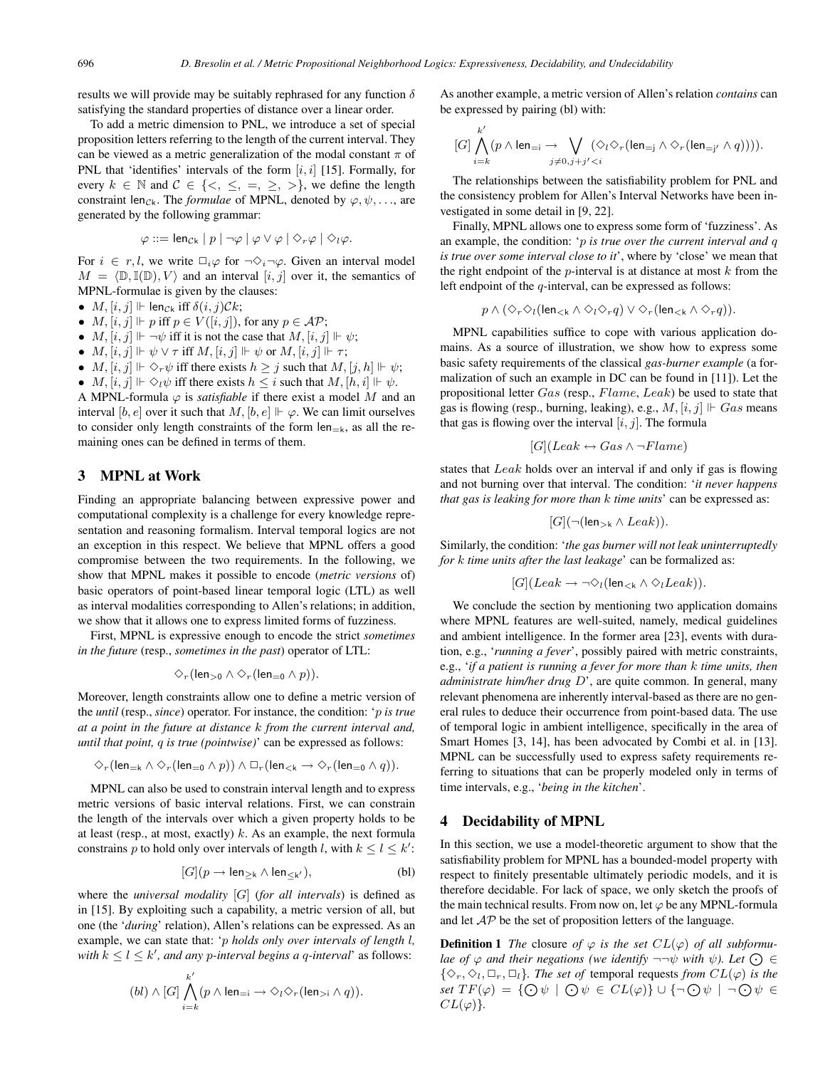results we will provide may be suitably rephrased for any function  $\delta$ satisfying the standard properties of distance over a linear order.

To add a metric dimension to PNL, we introduce a set of special proposition letters referring to the length of the current interval. They can be viewed as a metric generalization of the modal constant  $\pi$  of PNL that 'identifies' intervals of the form  $[i, i]$  [15]. Formally, for every  $k \in \mathbb{N}$  and  $\mathcal{C} \in \{<, \leq, =, \geq, >\}$ , we define the length constraint len<sub>Ck</sub>. The *formulae* of MPNL, denoted by  $\varphi, \psi, \ldots$ , are generated by the following grammar:

$$
\varphi ::= \mathsf{len}_{\mathcal{C}k} \mid p \mid \neg \varphi \mid \varphi \vee \varphi \mid \Diamond_r \varphi \mid \Diamond_l \varphi.
$$

For  $i \in r, l$ , we write  $\Box_i \varphi$  for  $\neg \Diamond_i \neg \varphi$ . Given an interval model  $M = \langle \mathbb{D}, \mathbb{I}(\mathbb{D}), V \rangle$  and an interval  $[i, j]$  over it, the semantics of MPNL-formulae is given by the clauses:

- $M$ ,  $[i, j]$   $\Vdash$  len<sub>Ck</sub> iff  $\delta(i, j)$ Ck;
- $M$ ,  $[i, j] \Vdash p$  iff  $p \in V([i, j])$ , for any  $p \in \mathcal{AP}$ ;
- $M$ ,  $[i, j] \Vdash \neg \psi$  iff it is not the case that  $M$ ,  $[i, j] \Vdash \psi$ ;
- $M, [i, j] \Vdash \psi \lor \tau$  iff  $M, [i, j] \Vdash \psi$  or  $M, [i, j] \Vdash \tau$ ;
- $M, [i, j] \Vdash \Diamond_r \psi$  iff there exists  $h \geq j$  such that  $M, [j, h] \Vdash \psi;$
- $M, [i, j] \Vdash \Diamond_i \psi$  iff there exists  $h \leq i$  such that  $M, [h, i] \Vdash \psi$ .

A MPNL-formula  $\varphi$  is *satisfiable* if there exist a model M and an interval [b, e] over it such that M, [b, e]  $\Vdash \varphi$ . We can limit ourselves to consider only length constraints of the form  $len_{=k}$ , as all the remaining ones can be defined in terms of them.

#### **3 MPNL at Work**

Finding an appropriate balancing between expressive power and computational complexity is a challenge for every knowledge representation and reasoning formalism. Interval temporal logics are not an exception in this respect. We believe that MPNL offers a good compromise between the two requirements. In the following, we show that MPNL makes it possible to encode (*metric versions* of) basic operators of point-based linear temporal logic (LTL) as well as interval modalities corresponding to Allen's relations; in addition, we show that it allows one to express limited forms of fuzziness.

First, MPNL is expressive enough to encode the strict *sometimes in the future* (resp., *sometimes in the past*) operator of LTL:

$$
\Diamond_r(\text{len}_{>0} \land \Diamond_r(\text{len}_{=0} \land p)).
$$

Moreover, length constraints allow one to define a metric version of the *until* (resp., *since*) operator. For instance, the condition: 'p *is true at a point in the future at distance* k *from the current interval and, until that point,* q *is true (pointwise)*' can be expressed as follows:

$$
\Diamond_r(\text{len}_{=k} \land \Diamond_r(\text{len}_{=0} \land p)) \land \Box_r(\text{len}_{
$$

MPNL can also be used to constrain interval length and to express metric versions of basic interval relations. First, we can constrain the length of the intervals over which a given property holds to be at least (resp., at most, exactly)  $k$ . As an example, the next formula constrains p to hold only over intervals of length l, with  $k \leq l \leq k'$ :

$$
[G](p \to \mathsf{len}_{\geq \mathsf{k}} \wedge \mathsf{len}_{\leq \mathsf{k}'}), \tag{bl}
$$

where the *universal modality* [G] (*for all intervals*) is defined as in [15]. By exploiting such a capability, a metric version of all, but one (the '*during*' relation), Allen's relations can be expressed. As an example, we can state that: 'p *holds only over intervals of length* l*, with*  $k \leq l \leq k'$ , and any *p*-interval begins a q-interval' as follows:

$$
(bl) \wedge [G] \bigwedge_{i=k}^{k'} (p \wedge \text{len}_{=i} \rightarrow \Diamond_l \Diamond_r (\text{len}_{>i} \wedge q)).
$$

As another example, a metric version of Allen's relation *contains* can be expressed by pairing (bl) with:

$$
[G]\bigwedge_{i=k}^{k'}(p\wedge \text{len}_{=i} \rightarrow \bigvee_{j\neq 0, j+j'
$$

The relationships between the satisfiability problem for PNL and the consistency problem for Allen's Interval Networks have been investigated in some detail in [9, 22].

Finally, MPNL allows one to express some form of 'fuzziness'. As an example, the condition: 'p *is true over the current interval and* q *is true over some interval close to it*', where by 'close' we mean that the right endpoint of the  $p$ -interval is at distance at most  $k$  from the left endpoint of the q-interval, can be expressed as follows:

$$
p \wedge (\Diamond_r \Diamond_l (\text{len}_{<\mathsf{k}} \wedge \Diamond_l \Diamond_r q) \vee \Diamond_r (\text{len}_{<\mathsf{k}} \wedge \Diamond_r q)).
$$

MPNL capabilities suffice to cope with various application domains. As a source of illustration, we show how to express some basic safety requirements of the classical *gas-burner example* (a formalization of such an example in DC can be found in [11]). Let the propositional letter  $Gas$  (resp.,  $Flame, Leak$ ) be used to state that gas is flowing (resp., burning, leaking), e.g.,  $M$ ,  $[i, j] \Vdash Gas$  means that gas is flowing over the interval  $[i, j]$ . The formula

$$
[G](Leak \leftrightarrow Gas \land \neg Flame)
$$

states that Leak holds over an interval if and only if gas is flowing and not burning over that interval. The condition: '*it never happens that gas is leaking for more than* k *time units*' can be expressed as:

$$
[G](\neg(\mathsf{len}_{>\mathsf{k}} \land \mathit{Leak})).
$$

Similarly, the condition: '*the gas burner will not leak uninterruptedly for* k *time units after the last leakage*' can be formalized as:

$$
[G](Leak \to \neg \Diamond_l (len_{< k} \land \Diamond_l Leak)).
$$

We conclude the section by mentioning two application domains where MPNL features are well-suited, namely, medical guidelines and ambient intelligence. In the former area [23], events with duration, e.g., '*running a fever*', possibly paired with metric constraints, e.g., '*if a patient is running a fever for more than* k *time units, then administrate him/her drug* D', are quite common. In general, many relevant phenomena are inherently interval-based as there are no general rules to deduce their occurrence from point-based data. The use of temporal logic in ambient intelligence, specifically in the area of Smart Homes [3, 14], has been advocated by Combi et al. in [13]. MPNL can be successfully used to express safety requirements referring to situations that can be properly modeled only in terms of time intervals, e.g., '*being in the kitchen*'.

#### **4 Decidability of MPNL**

In this section, we use a model-theoretic argument to show that the satisfiability problem for MPNL has a bounded-model property with respect to finitely presentable ultimately periodic models, and it is therefore decidable. For lack of space, we only sketch the proofs of the main technical results. From now on, let  $\varphi$  be any MPNL-formula and let  $AP$  be the set of proposition letters of the language.

**Definition 1** *The* closure *of*  $\varphi$  *is the set*  $CL(\varphi)$  *of all subformulae of*  $\varphi$  *and their negations (we identify*  $\neg \neg \psi$  *with*  $\psi$ *). Let*  $\bigodot \in$  $\{\diamondsuit_r, \diamondsuit_l, \Box_r, \Box_l\}$ *. The set of temporal requests from*  $CL(\varphi)$  *is the set*  $TF(\varphi) = \{ \bigcirc \psi \mid \bigcirc \psi \in CL(\varphi) \} \cup \{ \neg \bigcirc \psi \mid \neg \bigcirc \psi \in$  $CL(\varphi)$ .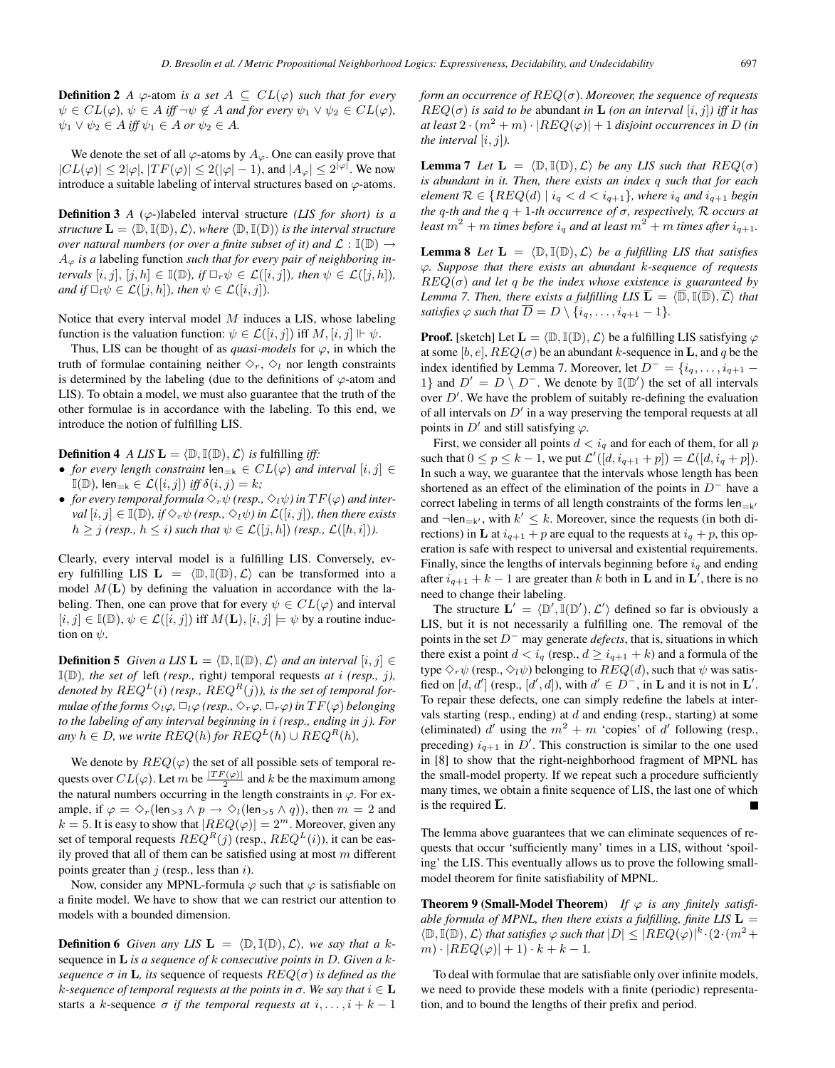**Definition 2** *A*  $\varphi$ -atom *is a set*  $A \subseteq CL(\varphi)$  *such that for every*  $\psi \in CL(\varphi), \psi \in A$  *iff*  $\neg \psi \notin A$  and for every  $\psi_1 \vee \psi_2 \in CL(\varphi)$ ,  $\psi_1 \lor \psi_2 \in A$  *iff*  $\psi_1 \in A$  *or*  $\psi_2 \in A$ *.* 

We denote the set of all  $\varphi$ -atoms by  $A_{\varphi}$ . One can easily prove that  $|CL(\varphi)| \leq 2|\varphi|, |TF(\varphi)| \leq 2(|\varphi|-1),$  and  $|A_{\varphi}| \leq 2^{|\varphi|}$ . We now introduce a suitable labeling of interval structures based on  $\varphi$ -atoms.

**Definition 3** *A* ( $\varphi$ -)labeled interval structure *(LIS for short) is a*  $structure \ L = \langle \mathbb{D}, \mathbb{I}(\mathbb{D}), \mathcal{L} \rangle$ , where  $\langle \mathbb{D}, \mathbb{I}(\mathbb{D}) \rangle$  *is the interval structure over natural numbers (or over a finite subset of it) and*  $\mathcal{L} : \mathbb{I}(\mathbb{D}) \to$ A<sup>ϕ</sup> *is a* labeling function *such that for every pair of neighboring intervals*  $[i, j], [j, h] \in \mathbb{I}(\mathbb{D})$ *, if*  $\Box_r \psi \in \mathcal{L}([i, j])$ *, then*  $\psi \in \mathcal{L}([j, h])$ *, and if*  $\Box_l \psi \in \mathcal{L}([j,h])$ *, then*  $\psi \in \mathcal{L}([i,j])$ *.* 

Notice that every interval model  $M$  induces a LIS, whose labeling function is the valuation function:  $\psi \in \mathcal{L}([i,j])$  iff  $M, [i,j] \Vdash \psi$ .

Thus, LIS can be thought of as *quasi-models* for  $\varphi$ , in which the truth of formulae containing neither  $\Diamond_r$ ,  $\Diamond_l$  nor length constraints is determined by the labeling (due to the definitions of  $\varphi$ -atom and LIS). To obtain a model, we must also guarantee that the truth of the other formulae is in accordance with the labeling. To this end, we introduce the notion of fulfilling LIS.

**Definition 4** *A LIS*  $\mathbf{L} = \langle \mathbb{D}, \mathbb{I}(\mathbb{D}), \mathcal{L} \rangle$  *is* fulfilling *iff*:

- *for every length constraint*  $\text{len}_{=k} \in CL(\varphi)$  *and interval*  $[i, j] \in$  $\mathbb{I}(\mathbb{D})$ , len<sub>=k</sub>  $\in \mathcal{L}([i, j])$  *iff*  $\delta(i, j) = k$ ;
- *for every temporal formula*  $\Diamond_r \psi$  *(resp.,*  $\Diamond_l \psi$ *) in*  $TF(\varphi)$  *and interval*  $[i, j] \in \mathbb{I}(\mathbb{D})$ *, if*  $\Diamond_r \psi$  *(resp.,*  $\Diamond_i \psi$ *) in*  $\mathcal{L}([i, j])$ *, then there exists*  $h \geq j$  *(resp.,*  $h \leq i$ *) such that*  $\psi \in \mathcal{L}([j,h])$  *(resp.,*  $\mathcal{L}([h,i])$ *).*

Clearly, every interval model is a fulfilling LIS. Conversely, every fulfilling LIS  $\mathbf{L} = \langle \mathbb{D}, \mathbb{I}(\mathbb{D}), \mathcal{L} \rangle$  can be transformed into a model  $M(L)$  by defining the valuation in accordance with the labeling. Then, one can prove that for every  $\psi \in CL(\varphi)$  and interval  $[i, j] \in \mathbb{I}(\mathbb{D}), \psi \in \mathcal{L}([i, j])$  iff  $M(\mathbf{L}), [i, j] \models \psi$  by a routine induction on  $\psi$ .

**Definition 5** *Given a LIS*  $\mathbf{L} = \langle \mathbb{D}, \mathbb{I}(\mathbb{D}), \mathcal{L} \rangle$  *and an interval*  $[i, j] \in$  $\mathbb{I}(\mathbb{D})$ *, the set of left (resp., right)* temporal requests *at i (resp., j)*, denoted by  $REG^{L}(i)$  (resp.,  $REG^{R}(j)$ ), is the set of temporal for*mulae of the forms*  $\Diamond_l \varphi$ ,  $\Box_l \varphi$  *(resp.,*  $\Diamond_r \varphi$ *,*  $\Box_r \varphi$ *) in*  $TF(\varphi)$  *belonging to the labeling of any interval beginning in* i *(resp., ending in* j*). For any*  $h \in D$ *, we write*  $REQ(h)$  *for*  $REQ^L(h) \cup REQ^R(h)$ *,* 

We denote by  $REQ(\varphi)$  the set of all possible sets of temporal requests over  $CL(\varphi)$ . Let m be  $\frac{|TF(\varphi)|}{2}$  and k be the maximum among the natural numbers occurring in the length constraints in  $\varphi$ . For example, if  $\varphi = \Diamond_r(\text{len}_{>3} \land p \to \Diamond_l(\text{len}_{>5} \land q))$ , then  $m = 2$  and  $k = 5$ . It is easy to show that  $|REQ(\varphi)| = 2^m$ . Moreover, given any set of temporal requests  $REQ^{R}(j)$  (resp.,  $REQ^{L}(i)$ ), it can be easily proved that all of them can be satisfied using at most  $m$  different points greater than  $j$  (resp., less than  $i$ ).

Now, consider any MPNL-formula  $\varphi$  such that  $\varphi$  is satisfiable on a finite model. We have to show that we can restrict our attention to models with a bounded dimension.

**Definition 6** *Given any LIS*  $\mathbf{L} = \langle \mathbb{D}, \mathbb{I}(\mathbb{D}), \mathcal{L} \rangle$ *, we say that a k*sequence in **L** *is a sequence of* k *consecutive points in* D*. Given a* k*sequence*  $\sigma$  *in* **L***, its* sequence of requests  $REQ(\sigma)$  *is defined as the* k-sequence of temporal requests at the points in  $\sigma$ . We say that  $i \in L$ starts a k-sequence  $\sigma$  *if the temporal requests at*  $i, \ldots, i + k - 1$ 

*form an occurrence of* REQ(σ)*. Moreover, the sequence of requests*  $REQ(\sigma)$  *is said to be abundant in* **L** *(on an interval* [i, j]*) iff it has at least*  $2 \cdot (m^2 + m) \cdot |REQ(\varphi)| + 1$  *disjoint occurrences in D (in*) *the interval*  $[i, j]$ *).* 

**Lemma 7** *Let*  $\mathbf{L} = \langle \mathbb{D}, \mathbb{I}(\mathbb{D}), \mathcal{L} \rangle$  *be any LIS such that*  $REQ(\sigma)$ *is abundant in it. Then, there exists an index* q *such that for each element*  $\mathcal{R} \in \{ REQ(d) \mid i_q < d < i_{q+1} \}$ *, where*  $i_q$  *and*  $i_{q+1}$  *begin the* q-th and the  $q + 1$ -th occurrence of  $σ$ , respectively,  $R$  occurs at *least*  $m^2 + m$  *times before*  $i_q$  *and at least*  $m^2 + m$  *times after*  $i_{q+1}$ *.* 

**Lemma 8** *Let*  $\mathbf{L} = \langle \mathbb{D}, \mathbb{I}(\mathbb{D}), \mathcal{L} \rangle$  *be a fulfilling LIS that satisfies* ϕ*. Suppose that there exists an abundant* k*-sequence of requests*  $REQ(\sigma)$  *and let q be the index whose existence is guaranteed by* Lemma 7. Then, there exists a fulfilling LIS  $\overline{\bf L} = \langle \overline{\mathbb{D}}, \mathbb{I}(\overline{\mathbb{D}}), \overline{\mathcal{L}} \rangle$  that *satisfies*  $\varphi$  *such that*  $\overline{D} = D \setminus \{i_q, \ldots, i_{q+1} - 1\}.$ 

**Proof.** [sketch] Let  $\mathbf{L} = \langle \mathbb{D}, \mathbb{I}(\mathbb{D}), \mathcal{L} \rangle$  be a fulfilling LIS satisfying  $\varphi$ at some [b, e],  $REQ(\sigma)$  be an abundant k-sequence in **L**, and q be the index identified by Lemma 7. Moreover, let  $D^- = \{i_q, \ldots, i_{q+1} -$ 1} and  $D' = D \setminus D^-$ . We denote by  $\mathbb{I}(\mathbb{D}')$  the set of all intervals over  $D'$ . We have the problem of suitably re-defining the evaluation of all intervals on  $D'$  in a way preserving the temporal requests at all points in  $D'$  and still satisfying  $\varphi$ .

First, we consider all points  $d < i_q$  and for each of them, for all p such that  $0 \le p \le k - 1$ , we put  $\mathcal{L}'([d, i_{q+1} + p]) = \mathcal{L}([d, i_q + p]).$ In such a way, we guarantee that the intervals whose length has been shortened as an effect of the elimination of the points in  $D^-$  have a correct labeling in terms of all length constraints of the forms  $len_{=k'}$ and  $\neg len_{=k'}$ , with  $k' \leq k$ . Moreover, since the requests (in both directions) in **L** at  $i_{q+1}$  + p are equal to the requests at  $i_q$  + p, this operation is safe with respect to universal and existential requirements. Finally, since the lengths of intervals beginning before  $i_q$  and ending after  $i_{q+1} + k - 1$  are greater than k both in **L** and in **L**<sup>'</sup>, there is no need to change their labeling.

The structure  $\mathbf{L}' = \langle \mathbb{D}', \mathbb{I}(\mathbb{D}'), \mathcal{L}' \rangle$  defined so far is obviously a LIS, but it is not necessarily a fulfilling one. The removal of the points in the set D<sup>−</sup> may generate *defects*, that is, situations in which there exist a point  $d < i_q$  (resp.,  $d \geq i_{q+1} + k$ ) and a formula of the type  $\Diamond_r \psi$  (resp.,  $\Diamond_l \psi$ ) belonging to  $REQ(d)$ , such that  $\psi$  was satisfied on  $[d, d']$  (resp.,  $[d', d]$ ), with  $d' \in D^-$ , in **L** and it is not in **L'**. To repair these defects, one can simply redefine the labels at intervals starting (resp., ending) at  $d$  and ending (resp., starting) at some (eliminated) d'using the  $m^2 + m$  'copies' of d' following (resp., preceding)  $i_{q+1}$  in D'. This construction is similar to the one used in [8] to show that the right-neighborhood fragment of MPNL has the small-model property. If we repeat such a procedure sufficiently many times, we obtain a finite sequence of LIS, the last one of which is the required  $\overline{L}$ .

The lemma above guarantees that we can eliminate sequences of requests that occur 'sufficiently many' times in a LIS, without 'spoiling' the LIS. This eventually allows us to prove the following smallmodel theorem for finite satisfiability of MPNL.

**Theorem 9 (Small-Model Theorem)** *If*  $\varphi$  *is any finitely satisfiable formula of MPNL, then there exists a fulfilling, finite LIS*  $L =$  $\langle \mathbb{D}, \mathbb{I}(\mathbb{D}), \mathcal{L} \rangle$  that satisfies  $\varphi$  such that  $|D| \leq |REQ(\varphi)|^k \cdot (2 \cdot (m^2 +$  $m) \cdot |REQ(\varphi)| + 1) \cdot k + k - 1.$ 

To deal with formulae that are satisfiable only over infinite models, we need to provide these models with a finite (periodic) representation, and to bound the lengths of their prefix and period.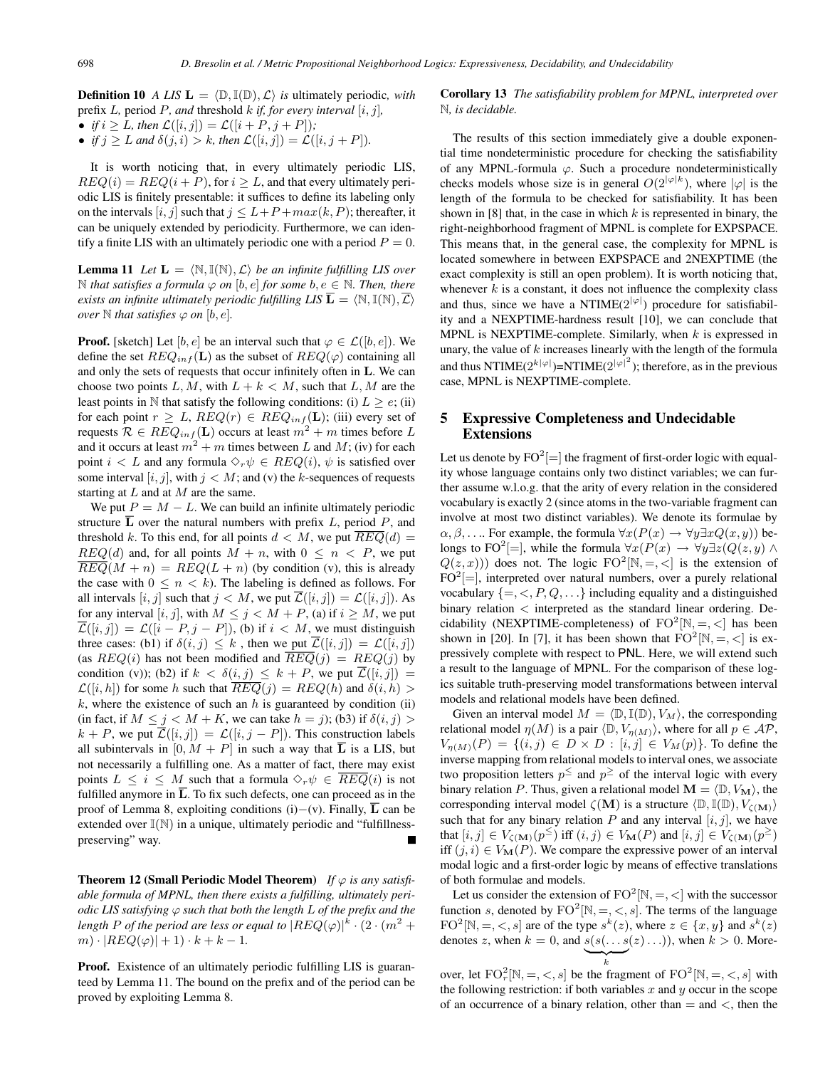**Definition 10** *A LIS*  $\mathbf{L} = \langle \mathbb{D}, \mathbb{I}(\mathbb{D}), \mathcal{L} \rangle$  *is* ultimately periodic, with prefix L*,* period P*, and* threshold k *if, for every interval* [i, j]*,*

• *if*  $i \geq L$ *, then*  $\mathcal{L}([i, j]) = \mathcal{L}([i + P, j + P])$ *;* 

• *if*  $j > L$  *and*  $\delta(j, i) > k$ *, then*  $\mathcal{L}([i, j]) = \mathcal{L}([i, j + P]).$ 

It is worth noticing that, in every ultimately periodic LIS,  $REQ(i) = REQ(i + P)$ , for  $i \geq L$ , and that every ultimately periodic LIS is finitely presentable: it suffices to define its labeling only on the intervals  $[i, j]$  such that  $j \leq L + P + max(k, P)$ ; thereafter, it can be uniquely extended by periodicity. Furthermore, we can identify a finite LIS with an ultimately periodic one with a period  $P = 0$ .

**Lemma 11** *Let*  $\mathbf{L} = \langle \mathbb{N}, \mathbb{I}(\mathbb{N}), \mathcal{L} \rangle$  *be an infinite fulfilling LIS over*  $\mathbb N$  *that satisfies a formula*  $\varphi$  *on* [b, e] *for some* b,  $e \in \mathbb N$ *. Then, there exists an infinite ultimately periodic fulfilling LIS*  $\overline{\bf L} = \langle \mathbb{N}, \mathbb{I}(\mathbb{N}), \overline{\mathcal{L}} \rangle$ *over*  $\mathbb N$  *that satisfies*  $\varphi$  *on*  $[b, e]$ *.* 

**Proof.** [sketch] Let [b, e] be an interval such that  $\varphi \in \mathcal{L}([b, e])$ . We define the set  $REQ_{inf}(\mathbf{L})$  as the subset of  $REQ(\varphi)$  containing all and only the sets of requests that occur infinitely often in **L**. We can choose two points L, M, with  $L + k < M$ , such that L, M are the least points in N that satisfy the following conditions: (i)  $L > e$ ; (ii) for each point  $r \geq L$ ,  $REQ(r) \in REQ_{inf}(\mathbf{L})$ ; (iii) every set of requests  $\mathcal{R} \in \mathbb{R}EQ_{inf}(\mathbf{L})$  occurs at least  $m^2 + m$  times before  $L$ and it occurs at least  $m^2 + m$  times between L and M; (iv) for each point  $i < L$  and any formula  $\Diamond_r \psi \in \mathbb{R}EQ(i)$ ,  $\psi$  is satisfied over some interval  $[i, j]$ , with  $j < M$ ; and (v) the k-sequences of requests starting at  $L$  and at  $M$  are the same.

We put  $P = M - L$ . We can build an infinite ultimately periodic structure  $\overline{L}$  over the natural numbers with prefix L, period P, and threshold k. To this end, for all points  $d < M$ , we put  $REQ(d) =$  $REQ(d)$  and, for all points  $M + n$ , with  $0 \le n \le P$ , we put  $REQ(M + n) = REQ(L + n)$  (by condition (v), this is already the case with  $0 \leq n \leq k$ ). The labeling is defined as follows. For all intervals  $[i, j]$  such that  $j < M$ , we put  $\overline{\mathcal{L}}([i, j]) = \mathcal{L}([i, j])$ . As for any interval [i, j], with  $M \le j < M + P$ , (a) if  $i \ge M$ , we put  $\overline{\mathcal{L}}([i,j]) = \mathcal{L}([i - P, j - P]),$  (b) if  $i < M$ , we must distinguish three cases: (b1) if  $\delta(i, j) \leq k$ , then we put  $\mathcal{L}([i, j]) = \mathcal{L}([i, j])$ (as  $REQ(i)$  has not been modified and  $REQ(j) = REQ(j)$  by condition (v)); (b2) if  $k < \delta(i, j) \leq k + P$ , we put  $\overline{\mathcal{L}}([i, j]) =$  $\mathcal{L}([i,h])$  for some h such that  $REQ(j) = REQ(h)$  and  $\delta(i,h) >$ k, where the existence of such an h is guaranteed by condition (ii) (in fact, if  $M \leq j \leq M + K$ , we can take  $h = j$ ); (b3) if  $\delta(i, j)$  $k + P$ , we put  $\overline{\mathcal{L}}([i, j]) = \mathcal{L}([i, j - P])$ . This construction labels all subintervals in  $[0, M + P]$  in such a way that  $\overline{L}$  is a LIS, but not necessarily a fulfilling one. As a matter of fact, there may exist points  $L \leq i \leq M$  such that a formula  $\Diamond_r \psi \in \mathbb{R}EQ(i)$  is not fulfilled anymore in  $\overline{L}$ . To fix such defects, one can proceed as in the proof of Lemma 8, exploiting conditions (i)−(v). Finally, **L** can be extended over  $\mathbb{I}(\mathbb{N})$  in a unique, ultimately periodic and "fulfillnesspreserving" way.

**Theorem 12 (Small Periodic Model Theorem)** If  $\varphi$  is any satisfi*able formula of MPNL, then there exists a fulfilling, ultimately periodic LIS satisfying*  $\varphi$  *such that both the length L of the prefix and the* length  $P$  of the period are less or equal to  $|REQ(\varphi)|^k \cdot (2 \cdot (m^2 +$  $m) \cdot |REQ(\varphi)| + 1) \cdot k + k - 1.$ 

**Proof.** Existence of an ultimately periodic fulfilling LIS is guaranteed by Lemma 11. The bound on the prefix and of the period can be proved by exploiting Lemma 8.

#### **Corollary 13** *The satisfiability problem for MPNL, interpreted over* N*, is decidable.*

The results of this section immediately give a double exponential time nondeterministic procedure for checking the satisfiability of any MPNL-formula  $\varphi$ . Such a procedure nondeterministically checks models whose size is in general  $O(2^{|\varphi|k})$ , where  $|\varphi|$  is the length of the formula to be checked for satisfiability. It has been shown in [8] that, in the case in which  $k$  is represented in binary, the right-neighborhood fragment of MPNL is complete for EXPSPACE. This means that, in the general case, the complexity for MPNL is located somewhere in between EXPSPACE and 2NEXPTIME (the exact complexity is still an open problem). It is worth noticing that, whenever  $k$  is a constant, it does not influence the complexity class and thus, since we have a NTIME $(2^{|\varphi|})$  procedure for satisfiability and a NEXPTIME-hardness result [10], we can conclude that MPNL is NEXPTIME-complete. Similarly, when  $k$  is expressed in unary, the value of  $k$  increases linearly with the length of the formula and thus NTIME( $2^{|{\varphi}|}$ )=NTIME( $2^{|{\varphi}|^2}$ ); therefore, as in the previous case, MPNL is NEXPTIME-complete.

### **5 Expressive Completeness and Undecidable Extensions**

Let us denote by  $FO^2$ [=] the fragment of first-order logic with equality whose language contains only two distinct variables; we can further assume w.l.o.g. that the arity of every relation in the considered vocabulary is exactly 2 (since atoms in the two-variable fragment can involve at most two distinct variables). We denote its formulae by  $\alpha, \beta, \ldots$  For example, the formula  $\forall x (P(x) \rightarrow \forall y \exists x Q(x, y))$  belongs to FO<sup>2</sup>[=], while the formula  $\forall x (P(x) \rightarrow \forall y \exists z (Q(z, y) \land \theta)$  $Q(z, x)$ ) does not. The logic FO<sup>2</sup>[N, =, <] is the extension of  $FO^2$ [=], interpreted over natural numbers, over a purely relational vocabulary  $\{ =, <, P, Q, \ldots \}$  including equality and a distinguished binary relation < interpreted as the standard linear ordering. Decidability (NEXPTIME-completeness) of  $FO^2[N, =, <]$  has been shown in [20]. In [7], it has been shown that  $FO^2[N, =, <]$  is expressively complete with respect to PNL. Here, we will extend such a result to the language of MPNL. For the comparison of these logics suitable truth-preserving model transformations between interval models and relational models have been defined.

Given an interval model  $M = \langle \mathbb{D}, \mathbb{I}(\mathbb{D}), V_M \rangle$ , the corresponding relational model  $\eta(M)$  is a pair  $\langle \mathbb{D}, V_{\eta(M)} \rangle$ , where for all  $p \in \mathcal{AP}$ ,  $V_{\eta(M)}(P) = \{(i, j) \in D \times D : [i, j] \in V_M(p)\}.$  To define the inverse mapping from relational models to interval ones, we associate two proposition letters  $p^{\leq}$  and  $p^{\geq}$  of the interval logic with every binary relation P. Thus, given a relational model  $\mathbf{M} = \langle \mathbb{D}, V_{\mathbf{M}} \rangle$ , the corresponding interval model  $\zeta(M)$  is a structure  $\langle \mathbb{D}, \mathbb{I}(\mathbb{D}), V_{\zeta(M)} \rangle$ such that for any binary relation  $P$  and any interval  $[i, j]$ , we have that  $[i, j] \in V_{\zeta(M)}(p^{\leq})$  iff  $(i, j) \in V_M(P)$  and  $[i, j] \in V_{\zeta(M)}(p^{\geq})$ iff  $(j, i) \in V_{\mathbf{M}}(P)$ . We compare the expressive power of an interval modal logic and a first-order logic by means of effective translations of both formulae and models.

Let us consider the extension of  $FO^2[N, =, <]$  with the successor function s, denoted by  $FO^2[N, =, <, s]$ . The terms of the language  $FO^2[N, =, <, s]$  are of the type  $s^k(z)$ , where  $z \in \{x, y\}$  and  $s^k(z)$ denotes z, when  $k = 0$ , and  $s(s(\dots s(z) \dots))$ , when  $k > 0$ . More- $\left\langle \sum_{k} \right\rangle$ 

over, let  $FO_r^2[N, =, <, s]$  be the fragment of  $FO^2[N, =, <, s]$  with the following restriction: if both variables  $x$  and  $y$  occur in the scope of an occurrence of a binary relation, other than  $=$  and  $\lt$ , then the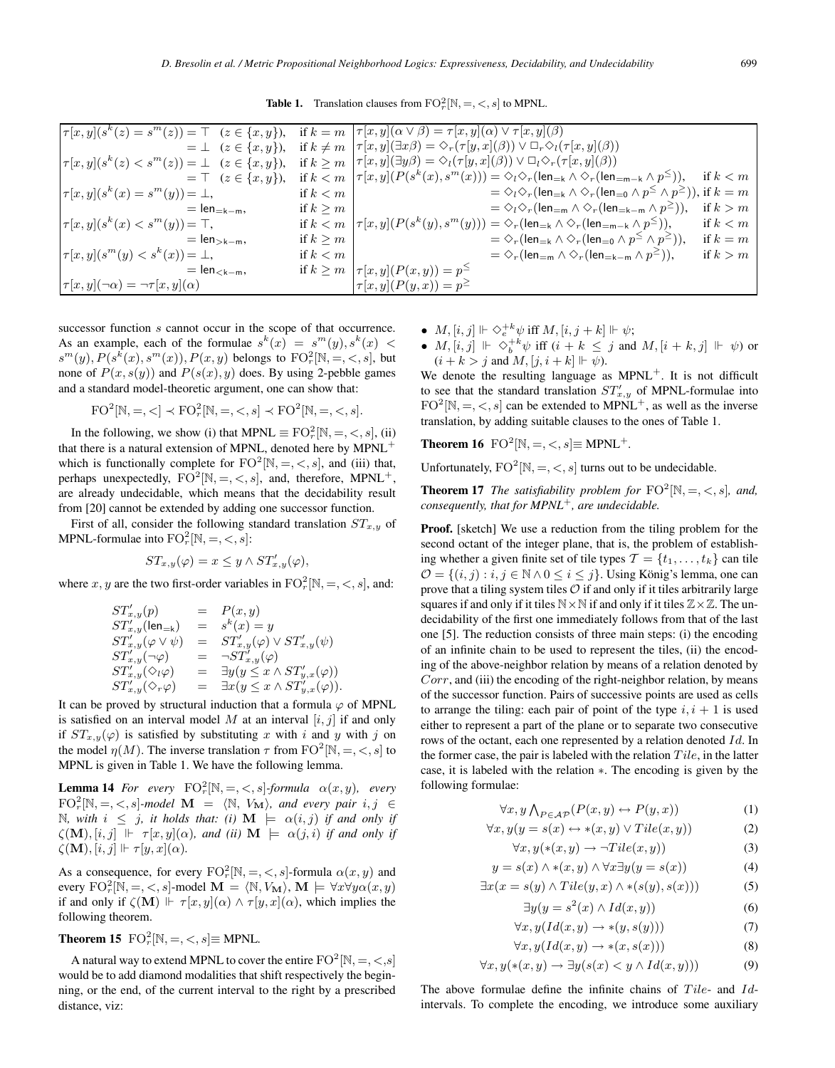**Table 1.** Translation clauses from  $\text{FO}_r^2[\mathbb{N}, =, <, s]$  to MPNL.

| $\big \tau[x,y](s^k(z) = s^m(z))\big  = \top$ $(z \in \{x,y\}), \text{ if } k = m \big \tau[x,y](\alpha \vee \beta) = \tau[x,y](\alpha) \vee \tau[x,y](\beta)$ |               |                                                                                                                                                                                                   |            |
|----------------------------------------------------------------------------------------------------------------------------------------------------------------|---------------|---------------------------------------------------------------------------------------------------------------------------------------------------------------------------------------------------|------------|
|                                                                                                                                                                |               | $= \bot$ $(z \in \{x, y\})$ , if $k \neq m$ $ \tau[x, y](\exists x \beta) = \Diamond_r(\tau[y, x](\beta)) \vee \Box_r \Diamond_l(\tau[x, y](\beta))$                                              |            |
|                                                                                                                                                                |               | $\big \tau[x,y](s^k(z)< s^m(z)) = \bot \quad (z\in\{x,y\}), \quad \text{if } k\geq m \;\; \big \tau[x,y](\exists y\beta) = \Diamond_l(\tau[y,x](\beta)) \vee \Box_l \Diamond_r(\tau[x,y](\beta))$ |            |
|                                                                                                                                                                |               | $= \top$ $(z \in \{x, y\}),$ if $k < m   \tau[x, y](P(s^k(x), s^m(x))) = \Diamond_i \Diamond_r (\text{len}_{=k} \land \Diamond_r (\text{len}_{=m-k} \land p^{\leq})),$                            | if $k < m$ |
| $\tau[x, y](s^k(x) = s^m(y)) = \bot,$                                                                                                                          | if $k < m$    | $= \Diamond_l \Diamond_r (len_{=k} \land \Diamond_r (len_{=0} \land p^{\leq} \land p^{\geq})),$ if $k = m$                                                                                        |            |
| $=$ len $=$ <sub>k<math>-</math>m</sub> ,                                                                                                                      | if $k > m$    | $= \Diamond_l \Diamond_r (len_{=m} \land \Diamond_r (len_{=k-m} \land p^{\geq})),$                                                                                                                | if $k > m$ |
| $ \tau[x, y](s^k(x) < s^m(y)) = \top,$                                                                                                                         |               | if $k < m   \tau[x,y](P(s^k(y), s^m(y))) = \Diamond_r(\text{len}_{=k} \land \Diamond_r(\text{len}_{=m-k} \land p^{\leq})),$                                                                       | if $k < m$ |
| $=$ len <sub>&gt;k-m</sub> ,                                                                                                                                   | if $k \geq m$ | $= \Diamond_r (len_{=k} \land \Diamond_r (len_{=0} \land p^{\leq} \land p^{\geq})),$                                                                                                              | if $k = m$ |
| $\left \tau[x,y](s^m(y) < s^k(x)) = \bot, \right $                                                                                                             | if $k < m$    | $= \Diamond_r (len_{=m} \land \Diamond_r (len_{=k-m} \land p^{\geq})),$                                                                                                                           | if $k > m$ |
| $=$ len $_{< k-m}$ ,                                                                                                                                           |               | if $k \ge m$ $ \tau[x, y](P(x, y)) = p^{\le}$                                                                                                                                                     |            |
| $\tau[x,y](\neg\alpha) = \neg\tau[x,y](\alpha)$                                                                                                                |               | $ \tau[x,y](P(y,x)) = p^{\geq}$                                                                                                                                                                   |            |

successor function s cannot occur in the scope of that occurrence. As an example, each of the formulae  $s^k(x) = s^m(y), s^k(x)$  $s^m(y)$ ,  $P(s^{\overline{k}}(x), s^m(x))$ ,  $P(x, y)$  belongs to  $\text{FO}_r^2[\mathbb{N}, =, <, s]$ , but none of  $P(x, s(y))$  and  $P(s(x), y)$  does. By using 2-pebble games and a standard model-theoretic argument, one can show that:

$$
FO^{2}[N, =, <] \prec FO_{r}^{2}[N, =, <, s] \prec FO^{2}[N, =, <, s].
$$

In the following, we show (i) that MPNL  $\equiv$  FO $_{r}^{2}$ [N, =, <, s], (ii) that there is a natural extension of MPNL, denoted here by MPNL<sup>+</sup> which is functionally complete for  $FO^2[N, =, <, s]$ , and (iii) that, perhaps unexpectedly,  $FO^2[N, =, <, s]$ , and, therefore, MPNL<sup>+</sup>, are already undecidable, which means that the decidability result from [20] cannot be extended by adding one successor function.

First of all, consider the following standard translation  $ST_{x,y}$  of MPNL-formulae into  $\text{FO}_r^2[\mathbb{N}, =, <, s]$ :

$$
ST_{x,y}(\varphi) = x \leq y \wedge ST'_{x,y}(\varphi),
$$

where x, y are the two first-order variables in  $\text{FO}_r^2[\mathbb{N}, =, <, s]$ , and:

$$
ST'_{x,y}(p) = P(x,y)
$$
  
\n
$$
ST'_{x,y}(\text{len}=\textbf{k}) = s^k(x) = y
$$
  
\n
$$
ST'_{x,y}(\varphi \lor \psi) = ST'_{x,y}(\varphi) \lor ST'_{x,y}(\psi)
$$
  
\n
$$
ST'_{x,y}(\neg \varphi) = \neg ST'_{x,y}(\varphi)
$$
  
\n
$$
ST'_{x,y}(\Diamond \psi) = \exists y(y \le x \land ST'_{y,x}(\varphi))
$$
  
\n
$$
ST'_{x,y}(\Diamond \neg \varphi) = \exists x(y \le x \land ST'_{y,x}(\varphi)).
$$

It can be proved by structural induction that a formula  $\varphi$  of MPNL is satisfied on an interval model  $M$  at an interval  $[i, j]$  if and only if  $ST_{x,y}(\varphi)$  is satisfied by substituting x with i and y with j on the model  $\eta(M)$ . The inverse translation  $\tau$  from  $\text{FO}^2[\mathbb{N}, =, <, s]$  to MPNL is given in Table 1. We have the following lemma.

**Lemma 14** *For every*  $\text{FO}_r^2[\mathbb{N}, =, <, s]$ *-formula*  $\alpha(x, y)$ *, every*  $FO_r^2[N, =, <, s]$ -model **M** =  $\langle N, V_M \rangle$ , and every pair  $i, j \in$  $\mathbb{N}$ *, with*  $i \leq j$ *, it holds that: (i)*  $\mathbf{M} \models \alpha(i, j)$  *if and only if*  $\zeta(\mathbf{M}), [i, j] \Vdash \tau[x, y](\alpha)$ , and (ii)  $\mathbf{M} \models \alpha(j, i)$  if and only if  $\zeta(\mathbf{M}), [i, j] \Vdash \tau[y, x](\alpha)$ .

As a consequence, for every  $FO_r^2[N, =, <, s]$ -formula  $\alpha(x, y)$  and every  $\text{FO}_r^2[\mathbb{N}, =, <, s]$ -model  $\mathbf{M} = \langle \mathbb{N}, V_{\mathbf{M}} \rangle$ ,  $\mathbf{M} \models \forall x \forall y \alpha(x, y)$ if and only if  $\zeta(\mathbf{M}) \Vdash \tau[x, y](\alpha) \wedge \tau[y, x](\alpha)$ , which implies the following theorem.

# **Theorem 15**  $\text{FO}_r^2[\mathbb{N}, =, <, s] \equiv \text{MPNL}$ .

A natural way to extend MPNL to cover the entire  $\text{FO}^2[\mathbb{N}, =, <, s]$ would be to add diamond modalities that shift respectively the beginning, or the end, of the current interval to the right by a prescribed distance, viz:

- $M, [i, j] \Vdash \Diamond^{+k}_e \psi$  iff  $M, [i, j + k] \Vdash \psi$ ;
- $M, [i, j] \Vdash \Diamond_b^{+k} \psi$  iff  $(i + k \leq j$  and  $M, [i + k, j] \Vdash \psi$  or  $(i + k > j \text{ and } M, [j, i + k] \Vdash \psi).$

We denote the resulting language as  $MPNL^+$ . It is not difficult to see that the standard translation  $ST'_{x,y}$  of MPNL-formulae into  $FO^2[N, =, <, s]$  can be extended to MPNL<sup>+</sup>, as well as the inverse translation, by adding suitable clauses to the ones of Table 1.

**Theorem 16** FO<sup>2</sup> $[N, =, \leq, s] \equiv MPNL^+$ .

Unfortunately,  $FO^2[N, =, <, s]$  turns out to be undecidable.

**Theorem 17** *The satisfiability problem for*  $\text{FO}^2[\mathbb{N}, =, <, s]$ *, and, consequently, that for MPNL*<sup>+</sup>*, are undecidable.*

**Proof.** [sketch] We use a reduction from the tiling problem for the second octant of the integer plane, that is, the problem of establishing whether a given finite set of tile types  $\mathcal{T} = \{t_1, \ldots, t_k\}$  can tile  $\mathcal{O} = \{(i, j) : i, j \in \mathbb{N} \land 0 \leq i \leq j\}$ . Using König's lemma, one can prove that a tiling system tiles  $\mathcal O$  if and only if it tiles arbitrarily large squares if and only if it tiles  $N \times N$  if and only if it tiles  $\mathbb{Z} \times \mathbb{Z}$ . The undecidability of the first one immediately follows from that of the last one [5]. The reduction consists of three main steps: (i) the encoding of an infinite chain to be used to represent the tiles, (ii) the encoding of the above-neighbor relation by means of a relation denoted by Corr, and (iii) the encoding of the right-neighbor relation, by means of the successor function. Pairs of successive points are used as cells to arrange the tiling: each pair of point of the type  $i, i + 1$  is used either to represent a part of the plane or to separate two consecutive rows of the octant, each one represented by a relation denoted Id. In the former case, the pair is labeled with the relation  $Tile$ , in the latter case, it is labeled with the relation ∗. The encoding is given by the following formulae:

$$
\forall x, y \bigwedge_{P \in \mathcal{AP}} (P(x, y) \leftrightarrow P(y, x)) \tag{1}
$$

$$
\forall x, y(y = s(x) \leftrightarrow *(x, y) \lor Tile(x, y))
$$
 (2)

$$
\forall x, y (\ast(x, y) \to \neg Tile(x, y)) \tag{3}
$$

$$
y = s(x) \land * (x, y) \land \forall x \exists y (y = s(x))
$$
(4)  

$$
\exists x (x = s(y) \land Tile(y, x) \land * (s(y), s(x)))
$$
(5)

$$
= s(y) \wedge \operatorname{Lie}(y, x) \wedge * (s(y), s(x))) \tag{5}
$$

$$
\exists y(y = s^2(x) \land Id(x, y))
$$
(6)  

$$
\forall x, y \ (Id(x, y) \to s(y, g(y)))
$$
(7)

$$
\forall x, y(\text{Id}(x, y) \to *(\text{y}, s(y)))) \tag{7}
$$

$$
\forall x, y(Id(x, y) \to *(x, s(x)))\tag{8}
$$

$$
\forall x, y (\ast(x, y) \to \exists y (s(x) < y \land Id(x, y))) \tag{9}
$$

The above formulae define the infinite chains of  $Tile$ - and  $Id$ intervals. To complete the encoding, we introduce some auxiliary